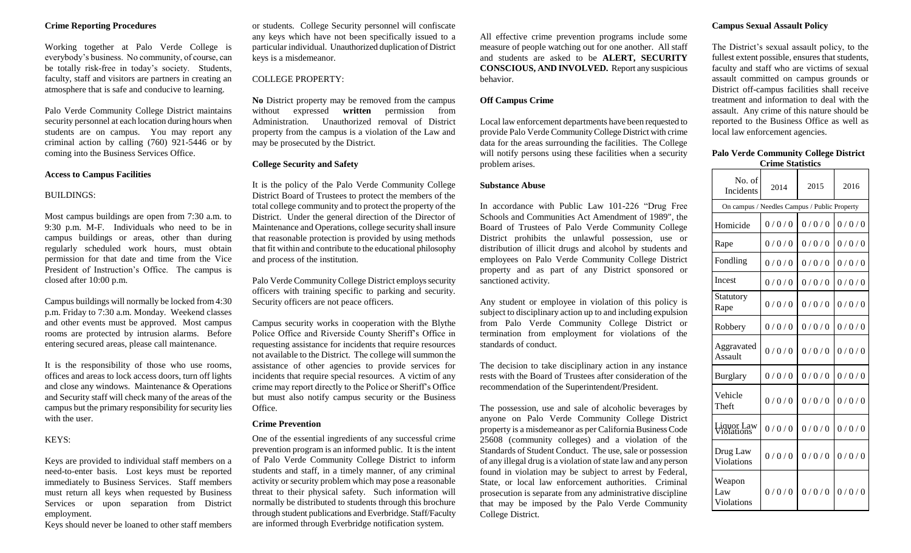### **Crime Reporting Procedures**

Working together at Palo Verde College is everybody's business. No community, of course, can be totally risk-free in today's society. Students, faculty, staff and visitors are partners in creating an atmosphere that is safe and conducive to learning.

Palo Verde Community College District maintains security personnel at each location during hours when students are on campus. You may report any criminal action by calling (760) 921-5446 or by coming into the Business Services Office.

#### **Access to Campus Facilities**

#### BUILDINGS:

Most campus buildings are open from 7:30 a.m. to 9:30 p.m. M-F. Individuals who need to be in campus buildings or areas, other than during regularly scheduled work hours, must obtain permission for that date and time from the Vice President of Instruction's Office. The campus is closed after 10:00 p.m.

Campus buildings will normally be locked from 4:30 p.m. Friday to 7:30 a.m. Monday. Weekend classes and other events must be approved. Most campus rooms are protected by intrusion alarms. Before entering secured areas, please call maintenance.

It is the responsibility of those who use rooms, offices and areas to lock access doors, turn off lights and close any windows. Maintenance & Operations and Security staff will check many of the areas of the campus but the primary responsibility for security lies with the user.

## KEYS:

Keys are provided to individual staff members on a need-to-enter basis. Lost keys must be reported immediately to Business Services. Staff members must return all keys when requested by Business Services or upon separation from District employment.

Keys should never be loaned to other staff members

or students. College Security personnel will confiscate any keys which have not been specifically issued to a particular individual. Unauthorized duplication of District keys is a misdemeanor.

# COLLEGE PROPERTY:

**No** District property may be removed from the campus without expressed **written** permission from Administration. Unauthorized removal of District property from the campus is a violation of the Law and may be prosecuted by the District.

#### **College Security and Safety**

It is the policy of the Palo Verde Community College District Board of Trustees to protect the members of the total college community and to protect the property of the District. Under the general direction of the Director of Maintenance and Operations, college security shall insure that reasonable protection is provided by using methods that fit within and contribute to the educational philosophy and process of the institution.

Palo Verde Community College District employs security officers with training specific to parking and security. Security officers are not peace officers.

Campus security works in cooperation with the Blythe Police Office and Riverside County Sheriff's Office in requesting assistance for incidents that require resources not available to the District. The college will summon the assistance of other agencies to provide services for incidents that require special resources. A victim of any crime may report directly to the Police or Sheriff's Office but must also notify campus security or the Business Office.

#### **Crime Prevention**

One of the essential ingredients of any successful crime prevention program is an informed public. It is the intent of Palo Verde Community College District to inform students and staff, in a timely manner, of any criminal activity or security problem which may pose a reasonable threat to their physical safety. Such information will normally be distributed to students through this brochure through student publications and Everbridge. Staff/Faculty are informed through Everbridge notification system.

All effective crime prevention programs include some measure of people watching out for one another. All staff and students are asked to be **ALERT, SECURITY CONSCIOUS, AND INVOLVED.** Report any suspicious behavior.

#### **Off Campus Crime**

Local law enforcement departments have been requested to provide Palo Verde Community College District with crime data for the areas surrounding the facilities. The College will notify persons using these facilities when a security problem arises.

#### **Substance Abuse**

In accordance with Public Law 101-226 "Drug Free Schools and Communities Act Amendment of 1989", the Board of Trustees of Palo Verde Community College District prohibits the unlawful possession, use or distribution of illicit drugs and alcohol by students and employees on Palo Verde Community College District property and as part of any District sponsored or sanctioned activity.

Any student or employee in violation of this policy is subject to disciplinary action up to and including expulsion from Palo Verde Community College District or termination from employment for violations of the standards of conduct.

The decision to take disciplinary action in any instance rests with the Board of Trustees after consideration of the recommendation of the Superintendent/President.

The possession, use and sale of alcoholic beverages by anyone on Palo Verde Community College District property is a misdemeanor as per California Business Code 25608 (community colleges) and a violation of the Standards of Student Conduct. The use, sale or possession of any illegal drug is a violation of state law and any person found in violation may be subject to arrest by Federal, State, or local law enforcement authorities. Criminal prosecution is separate from any administrative discipline that may be imposed by the Palo Verde Community College District.

# **Campus Sexual Assault Policy**

The District's sexual assault policy, to the fullest extent possible, ensures that students, faculty and staff who are victims of sexual assault committed on campus grounds or District off-campus facilities shall receive treatment and information to deal with the assault. Any crime of this nature should be reported to the Business Office as well as local law enforcement agencies.

#### **Palo Verde Community College District Crime Statistics**

| No. of<br>Incidents                          | 2014  | 2015  | 2016  |
|----------------------------------------------|-------|-------|-------|
| On campus / Needles Campus / Public Property |       |       |       |
| Homicide                                     | 0/0/0 | 0/0/0 | 0/0/0 |
| Rape                                         | 0/0/0 | 0/0/0 | 0/0/0 |
| Fondling                                     | 0/0/0 | 0/0/0 | 0/0/0 |
| Incest                                       | 0/0/0 | 0/0/0 | 0/0/0 |
| Statutory<br>Rape                            | 0/0/0 | 0/0/0 | 0/0/0 |
| Robbery                                      | 0/0/0 | 0/0/0 | 0/0/0 |
| Aggravated<br>Assault                        | 0/0/0 | 0/0/0 | 0/0/0 |
| <b>Burglary</b>                              | 0/0/0 | 0/0/0 | 0/0/0 |
| Vehicle<br>Theft                             | 0/0/0 | 0/0/0 | 0/0/0 |
| <b>Liquor Law</b><br>Violations              | 0/0/0 | 0/0/0 | 0/0/0 |
| Drug Law<br>Violations                       | 0/0/0 | 0/0/0 | 0/0/0 |
| Weapon<br>Law<br>Violations                  | 0/0/0 | 0/0/0 | 0/0/0 |